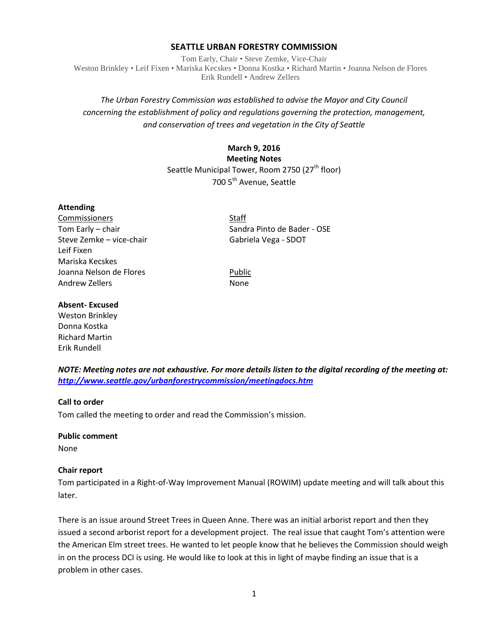#### **SEATTLE URBAN FORESTRY COMMISSION**

Tom Early, Chair • Steve Zemke, Vice-Chair Weston Brinkley • Leif Fixen • Mariska Kecskes • Donna Kostka • Richard Martin • Joanna Nelson de Flores Erik Rundell • Andrew Zellers

# *The Urban Forestry Commission was established to advise the Mayor and City Council concerning the establishment of policy and regulations governing the protection, management, and conservation of trees and vegetation in the City of Seattle*

#### **March 9, 2016 Meeting Notes**

Seattle Municipal Tower, Room 2750 (27<sup>th</sup> floor) 700 5<sup>th</sup> Avenue, Seattle

#### **Attending**

Commissioners Staff Steve Zemke – vice-chair Gabriela Vega - SDOT Leif Fixen Mariska Kecskes Joanna Nelson de Flores **Public** Andrew Zellers None

Tom Early – chair Sandra Pinto de Bader - OSE

#### **Absent- Excused**

Weston Brinkley Donna Kostka Richard Martin Erik Rundell

*NOTE: Meeting notes are not exhaustive. For more details listen to the digital recording of the meeting at: <http://www.seattle.gov/urbanforestrycommission/meetingdocs.htm>*

#### **Call to order**

Tom called the meeting to order and read the Commission's mission.

#### **Public comment**

None

#### **Chair report**

Tom participated in a Right-of-Way Improvement Manual (ROWIM) update meeting and will talk about this later.

There is an issue around Street Trees in Queen Anne. There was an initial arborist report and then they issued a second arborist report for a development project. The real issue that caught Tom's attention were the American Elm street trees. He wanted to let people know that he believes the Commission should weigh in on the process DCI is using. He would like to look at this in light of maybe finding an issue that is a problem in other cases.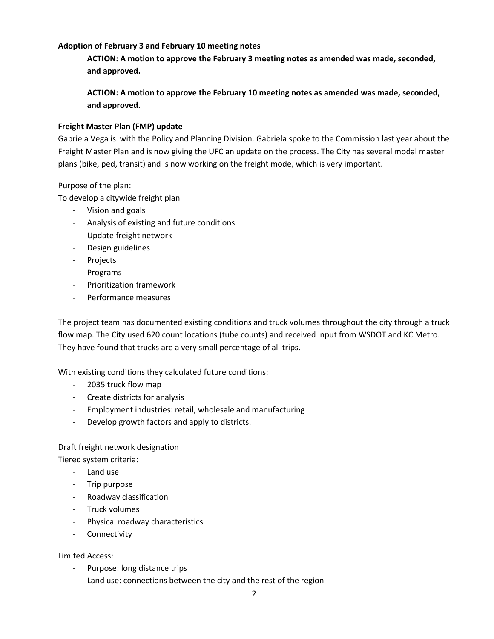### **Adoption of February 3 and February 10 meeting notes**

**ACTION: A motion to approve the February 3 meeting notes as amended was made, seconded, and approved.**

**ACTION: A motion to approve the February 10 meeting notes as amended was made, seconded, and approved.**

### **Freight Master Plan (FMP) update**

Gabriela Vega is with the Policy and Planning Division. Gabriela spoke to the Commission last year about the Freight Master Plan and is now giving the UFC an update on the process. The City has several modal master plans (bike, ped, transit) and is now working on the freight mode, which is very important.

### Purpose of the plan:

To develop a citywide freight plan

- Vision and goals
- Analysis of existing and future conditions
- Update freight network
- Design guidelines
- Projects
- Programs
- Prioritization framework
- Performance measures

The project team has documented existing conditions and truck volumes throughout the city through a truck flow map. The City used 620 count locations (tube counts) and received input from WSDOT and KC Metro. They have found that trucks are a very small percentage of all trips.

With existing conditions they calculated future conditions:

- 2035 truck flow map
- Create districts for analysis
- Employment industries: retail, wholesale and manufacturing
- Develop growth factors and apply to districts.

# Draft freight network designation

Tiered system criteria:

- Land use
- Trip purpose
- Roadway classification
- Truck volumes
- Physical roadway characteristics
- Connectivity

#### Limited Access:

- Purpose: long distance trips
- Land use: connections between the city and the rest of the region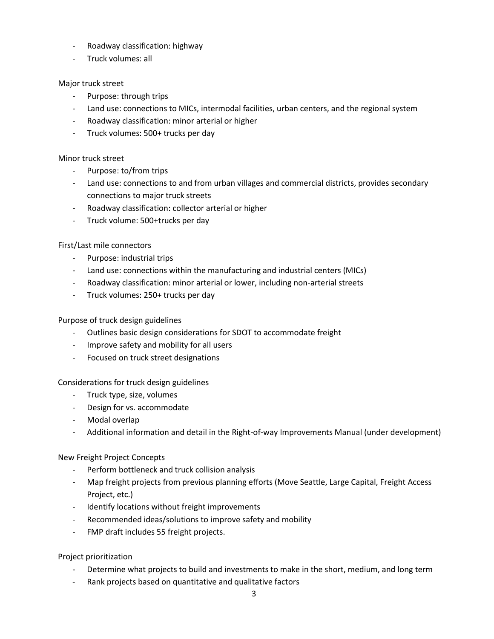- Roadway classification: highway
- Truck volumes: all

### Major truck street

- Purpose: through trips
- Land use: connections to MICs, intermodal facilities, urban centers, and the regional system
- Roadway classification: minor arterial or higher
- Truck volumes: 500+ trucks per day

### Minor truck street

- Purpose: to/from trips
- Land use: connections to and from urban villages and commercial districts, provides secondary connections to major truck streets
- Roadway classification: collector arterial or higher
- Truck volume: 500+trucks per day

#### First/Last mile connectors

- Purpose: industrial trips
- Land use: connections within the manufacturing and industrial centers (MICs)
- Roadway classification: minor arterial or lower, including non-arterial streets
- Truck volumes: 250+ trucks per day

### Purpose of truck design guidelines

- Outlines basic design considerations for SDOT to accommodate freight
- Improve safety and mobility for all users
- Focused on truck street designations

#### Considerations for truck design guidelines

- Truck type, size, volumes
- Design for vs. accommodate
- Modal overlap
- Additional information and detail in the Right-of-way Improvements Manual (under development)

#### New Freight Project Concepts

- Perform bottleneck and truck collision analysis
- Map freight projects from previous planning efforts (Move Seattle, Large Capital, Freight Access Project, etc.)
- Identify locations without freight improvements
- Recommended ideas/solutions to improve safety and mobility
- FMP draft includes 55 freight projects.

#### Project prioritization

- Determine what projects to build and investments to make in the short, medium, and long term
- Rank projects based on quantitative and qualitative factors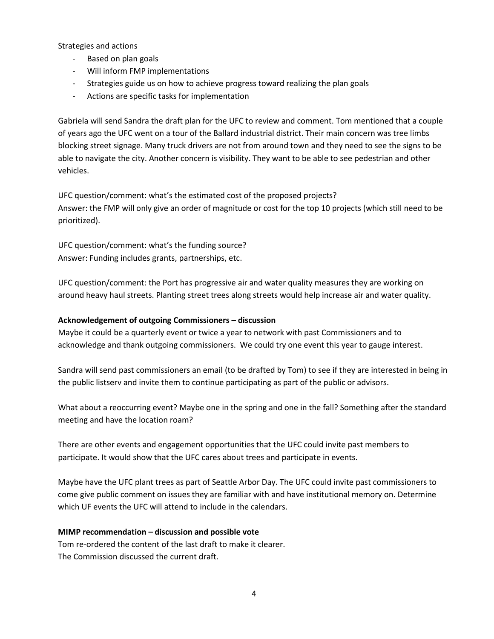Strategies and actions

- Based on plan goals
- Will inform FMP implementations
- Strategies guide us on how to achieve progress toward realizing the plan goals
- Actions are specific tasks for implementation

Gabriela will send Sandra the draft plan for the UFC to review and comment. Tom mentioned that a couple of years ago the UFC went on a tour of the Ballard industrial district. Their main concern was tree limbs blocking street signage. Many truck drivers are not from around town and they need to see the signs to be able to navigate the city. Another concern is visibility. They want to be able to see pedestrian and other vehicles.

UFC question/comment: what's the estimated cost of the proposed projects? Answer: the FMP will only give an order of magnitude or cost for the top 10 projects (which still need to be prioritized).

UFC question/comment: what's the funding source? Answer: Funding includes grants, partnerships, etc.

UFC question/comment: the Port has progressive air and water quality measures they are working on around heavy haul streets. Planting street trees along streets would help increase air and water quality.

#### **Acknowledgement of outgoing Commissioners – discussion**

Maybe it could be a quarterly event or twice a year to network with past Commissioners and to acknowledge and thank outgoing commissioners. We could try one event this year to gauge interest.

Sandra will send past commissioners an email (to be drafted by Tom) to see if they are interested in being in the public listserv and invite them to continue participating as part of the public or advisors.

What about a reoccurring event? Maybe one in the spring and one in the fall? Something after the standard meeting and have the location roam?

There are other events and engagement opportunities that the UFC could invite past members to participate. It would show that the UFC cares about trees and participate in events.

Maybe have the UFC plant trees as part of Seattle Arbor Day. The UFC could invite past commissioners to come give public comment on issues they are familiar with and have institutional memory on. Determine which UF events the UFC will attend to include in the calendars.

#### **MIMP recommendation – discussion and possible vote**

Tom re-ordered the content of the last draft to make it clearer. The Commission discussed the current draft.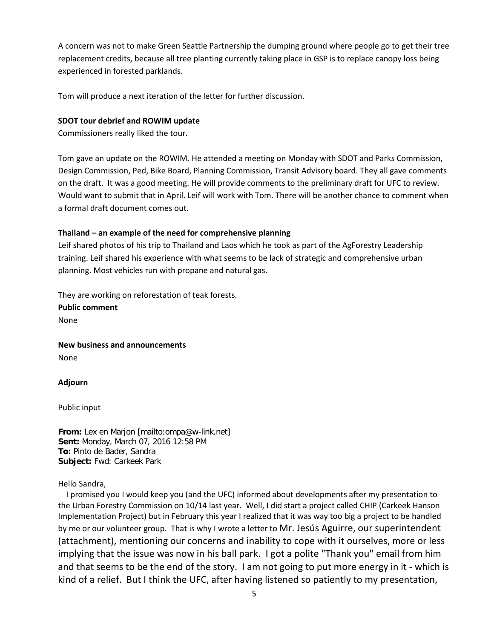A concern was not to make Green Seattle Partnership the dumping ground where people go to get their tree replacement credits, because all tree planting currently taking place in GSP is to replace canopy loss being experienced in forested parklands.

Tom will produce a next iteration of the letter for further discussion.

### **SDOT tour debrief and ROWIM update**

Commissioners really liked the tour.

Tom gave an update on the ROWIM. He attended a meeting on Monday with SDOT and Parks Commission, Design Commission, Ped, Bike Board, Planning Commission, Transit Advisory board. They all gave comments on the draft. It was a good meeting. He will provide comments to the preliminary draft for UFC to review. Would want to submit that in April. Leif will work with Tom. There will be another chance to comment when a formal draft document comes out.

# **Thailand – an example of the need for comprehensive planning**

Leif shared photos of his trip to Thailand and Laos which he took as part of the AgForestry Leadership training. Leif shared his experience with what seems to be lack of strategic and comprehensive urban planning. Most vehicles run with propane and natural gas.

They are working on reforestation of teak forests.

**Public comment** None

**New business and announcements**

None

**Adjourn**

Public input

**From:** Lex en Marjon [mailto:ompa@w-link.net] **Sent:** Monday, March 07, 2016 12:58 PM **To:** Pinto de Bader, Sandra **Subject:** Fwd: Carkeek Park

#### Hello Sandra,

 I promised you I would keep you (and the UFC) informed about developments after my presentation to the Urban Forestry Commission on 10/14 last year. Well, I did start a project called CHIP (Carkeek Hanson Implementation Project) but in February this year I realized that it was way too big a project to be handled by me or our volunteer group. That is why I wrote a letter to Mr. Jesús Aguirre, our superintendent (attachment), mentioning our concerns and inability to cope with it ourselves, more or less implying that the issue was now in his ball park. I got a polite "Thank you" email from him and that seems to be the end of the story. I am not going to put more energy in it - which is kind of a relief. But I think the UFC, after having listened so patiently to my presentation,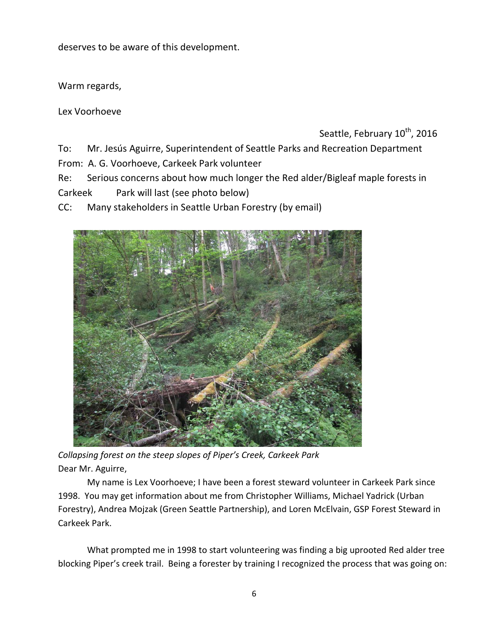deserves to be aware of this development.

Warm regards,

Lex Voorhoeve

Seattle, February 10<sup>th</sup>, 2016

To: Mr. Jesús Aguirre, Superintendent of Seattle Parks and Recreation Department

From: A. G. Voorhoeve, Carkeek Park volunteer

Re: Serious concerns about how much longer the Red alder/Bigleaf maple forests in Carkeek Park will last (see photo below)

CC: Many stakeholders in Seattle Urban Forestry (by email)



*Collapsing forest on the steep slopes of Piper's Creek, Carkeek Park* Dear Mr. Aguirre,

My name is Lex Voorhoeve; I have been a forest steward volunteer in Carkeek Park since 1998. You may get information about me from Christopher Williams, Michael Yadrick (Urban Forestry), Andrea Mojzak (Green Seattle Partnership), and Loren McElvain, GSP Forest Steward in Carkeek Park.

What prompted me in 1998 to start volunteering was finding a big uprooted Red alder tree blocking Piper's creek trail. Being a forester by training I recognized the process that was going on: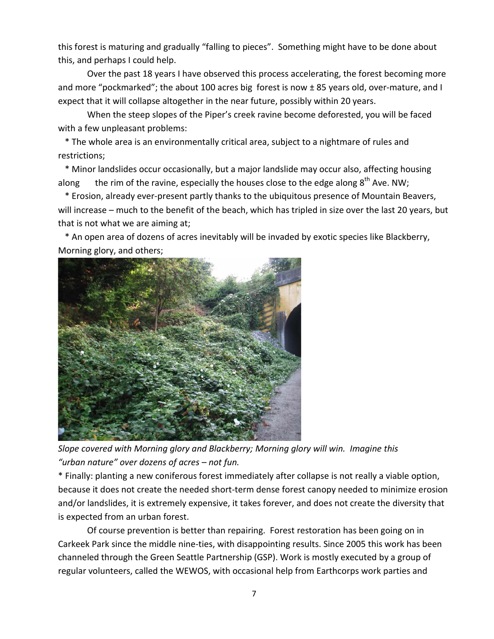this forest is maturing and gradually "falling to pieces". Something might have to be done about this, and perhaps I could help.

Over the past 18 years I have observed this process accelerating, the forest becoming more and more "pockmarked"; the about 100 acres big forest is now  $\pm$  85 years old, over-mature, and I expect that it will collapse altogether in the near future, possibly within 20 years.

When the steep slopes of the Piper's creek ravine become deforested, you will be faced with a few unpleasant problems:

 \* The whole area is an environmentally critical area, subject to a nightmare of rules and restrictions;

 \* Minor landslides occur occasionally, but a major landslide may occur also, affecting housing along the rim of the ravine, especially the houses close to the edge along  $8^{th}$  Ave. NW;

 \* Erosion, already ever-present partly thanks to the ubiquitous presence of Mountain Beavers, will increase – much to the benefit of the beach, which has tripled in size over the last 20 years, but that is not what we are aiming at;

 \* An open area of dozens of acres inevitably will be invaded by exotic species like Blackberry, Morning glory, and others;



*Slope covered with Morning glory and Blackberry; Morning glory will win. Imagine this "urban nature" over dozens of acres – not fun.*

\* Finally: planting a new coniferous forest immediately after collapse is not really a viable option, because it does not create the needed short-term dense forest canopy needed to minimize erosion and/or landslides, it is extremely expensive, it takes forever, and does not create the diversity that is expected from an urban forest.

Of course prevention is better than repairing. Forest restoration has been going on in Carkeek Park since the middle nine-ties, with disappointing results. Since 2005 this work has been channeled through the Green Seattle Partnership (GSP). Work is mostly executed by a group of regular volunteers, called the WEWOS, with occasional help from Earthcorps work parties and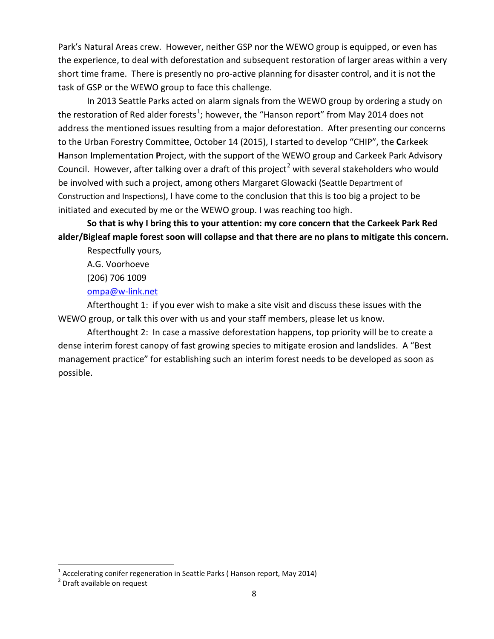Park's Natural Areas crew. However, neither GSP nor the WEWO group is equipped, or even has the experience, to deal with deforestation and subsequent restoration of larger areas within a very short time frame. There is presently no pro-active planning for disaster control, and it is not the task of GSP or the WEWO group to face this challenge.

In 2013 Seattle Parks acted on alarm signals from the WEWO group by ordering a study on the restoration of Red alder forests<sup>[1](#page-7-0)</sup>; however, the "Hanson report" from May 2014 does not address the mentioned issues resulting from a major deforestation. After presenting our concerns to the Urban Forestry Committee, October 14 (2015), I started to develop "CHIP", the **C**arkeek **H**anson **I**mplementation **P**roject, with the support of the WEWO group and Carkeek Park Advisory Council. However, after talking over a draft of this project<sup>[2](#page-7-1)</sup> with several stakeholders who would be involved with such a project, among others Margaret Glowacki (Seattle Department of Construction and Inspections), I have come to the conclusion that this is too big a project to be initiated and executed by me or the WEWO group. I was reaching too high.

**So that is why I bring this to your attention: my core concern that the Carkeek Park Red alder/Bigleaf maple forest soon will collapse and that there are no plans to mitigate this concern.**

Respectfully yours,

A.G. Voorhoeve

(206) 706 1009

[ompa@w-link.net](mailto:ompa@w-link.net)

Afterthought 1: if you ever wish to make a site visit and discuss these issues with the WEWO group, or talk this over with us and your staff members, please let us know.

Afterthought 2: In case a massive deforestation happens, top priority will be to create a dense interim forest canopy of fast growing species to mitigate erosion and landslides. A "Best management practice" for establishing such an interim forest needs to be developed as soon as possible.

l

<span id="page-7-0"></span><sup>&</sup>lt;sup>1</sup> Accelerating conifer regeneration in Seattle Parks ( Hanson report, May 2014)<br><sup>2</sup> Draft available on request

<span id="page-7-1"></span>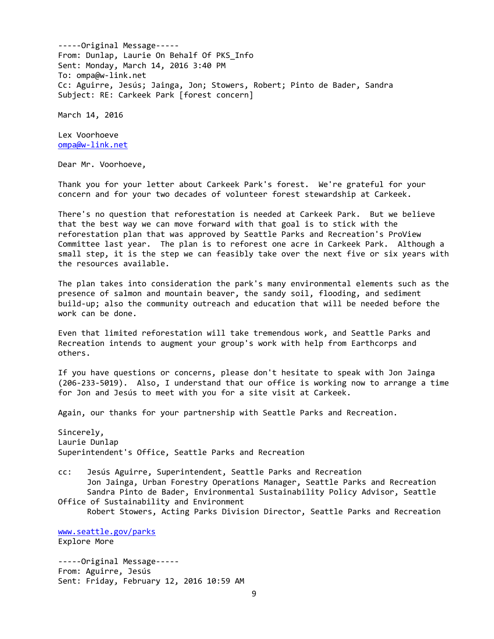-----Original Message----- From: Dunlap, Laurie On Behalf Of PKS\_Info Sent: Monday, March 14, 2016 3:40 PM To: ompa@w-link.net Cc: Aguirre, Jesús; Jainga, Jon; Stowers, Robert; Pinto de Bader, Sandra Subject: RE: Carkeek Park [forest concern]

March 14, 2016

Lex Voorhoeve [ompa@w-link.net](mailto:ompa@w-link.net)

Dear Mr. Voorhoeve,

Thank you for your letter about Carkeek Park's forest. We're grateful for your concern and for your two decades of volunteer forest stewardship at Carkeek.

There's no question that reforestation is needed at Carkeek Park. But we believe that the best way we can move forward with that goal is to stick with the reforestation plan that was approved by Seattle Parks and Recreation's ProView Committee last year. The plan is to reforest one acre in Carkeek Park. Although a small step, it is the step we can feasibly take over the next five or six years with the resources available.

The plan takes into consideration the park's many environmental elements such as the presence of salmon and mountain beaver, the sandy soil, flooding, and sediment build-up; also the community outreach and education that will be needed before the work can be done.

Even that limited reforestation will take tremendous work, and Seattle Parks and Recreation intends to augment your group's work with help from Earthcorps and others.

If you have questions or concerns, please don't hesitate to speak with Jon Jainga (206-233-5019). Also, I understand that our office is working now to arrange a time for Jon and Jesús to meet with you for a site visit at Carkeek.

Again, our thanks for your partnership with Seattle Parks and Recreation.

Sincerely, Laurie Dunlap Superintendent's Office, Seattle Parks and Recreation

cc: Jesús Aguirre, Superintendent, Seattle Parks and Recreation Jon Jainga, Urban Forestry Operations Manager, Seattle Parks and Recreation Sandra Pinto de Bader, Environmental Sustainability Policy Advisor, Seattle Office of Sustainability and Environment

Robert Stowers, Acting Parks Division Director, Seattle Parks and Recreation

[www.seattle.gov/parks](http://www.seattle.gov/parks) Explore More

-----Original Message----- From: Aguirre, Jesús Sent: Friday, February 12, 2016 10:59 AM